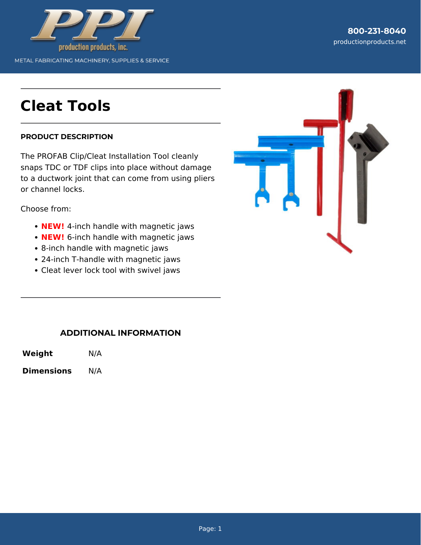

# **Cleat Tools**

#### **PRODUCT DESCRIPTION**

The PROFAB Clip/Cleat Installation Tool cleanly snaps TDC or TDF clips into place without damage to a ductwork joint that can come from using pliers or channel locks.

Choose from:

- **NEW!** 4-inch handle with magnetic jaws
- **NEW!** 6-inch handle with magnetic jaws
- 8-inch handle with magnetic jaws
- 24-inch T-handle with magnetic jaws
- Cleat lever lock tool with swivel jaws



### **ADDITIONAL INFORMATION**

**Weight** N/A

**Dimensions** N/A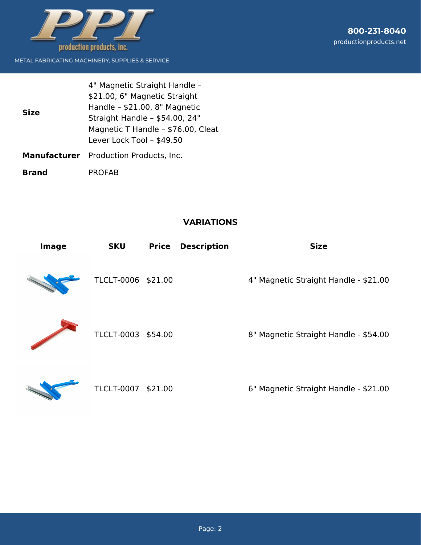

METAL FABRICATING MACHINERY, SUPPLIES & SERVICE

| <b>Size</b> | 4" Magnetic Straight Handle -<br>\$21.00, 6" Magnetic Straight<br>Handle - \$21.00, 8" Magnetic<br>Straight Handle - \$54.00, 24"<br>Magnetic T Handle - \$76.00, Cleat<br>Lever Lock Tool - \$49.50 |
|-------------|------------------------------------------------------------------------------------------------------------------------------------------------------------------------------------------------------|
|             | <b>Manufacturer</b> Production Products, Inc.                                                                                                                                                        |

**Brand** PROFAB

### **VARIATIONS**

| <b>Image</b> | <b>SKU</b>         | <b>Price</b> | <b>Description</b> | <b>Size</b>                           |
|--------------|--------------------|--------------|--------------------|---------------------------------------|
|              | TLCLT-0006 \$21.00 |              |                    | 4" Magnetic Straight Handle - \$21.00 |
|              | TLCLT-0003 \$54.00 |              |                    | 8" Magnetic Straight Handle - \$54.00 |
|              |                    |              |                    |                                       |



TLCLT-0007 \$21.00 6" Magnetic Straight Handle - \$21.00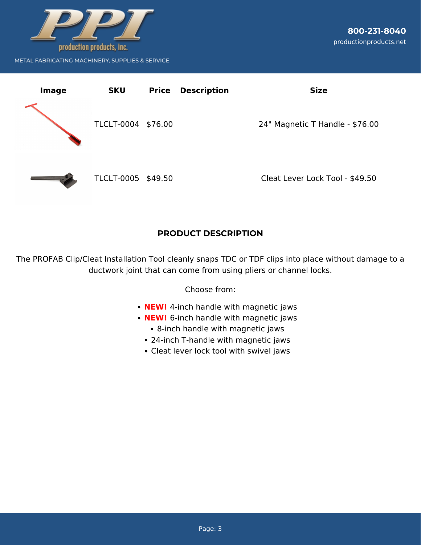



## **PRODUCT DESCRIPTION**

The PROFAB Clip/Cleat Installation Tool cleanly snaps TDC or TDF clips into place without damage to a ductwork joint that can come from using pliers or channel locks.

Choose from:

- **NEW!** 4-inch handle with magnetic jaws
- **NEW!** 6-inch handle with magnetic jaws
	- 8-inch handle with magnetic jaws
	- 24-inch T-handle with magnetic jaws
	- Cleat lever lock tool with swivel jaws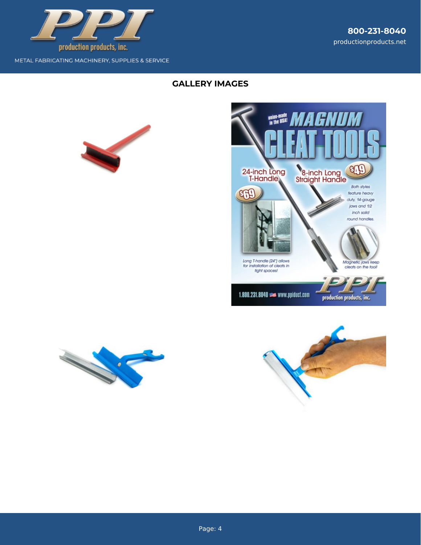

METAL FABRICATING MACHINERY, SUPPLIES & SERVICE

## **GALLERY IMAGES**